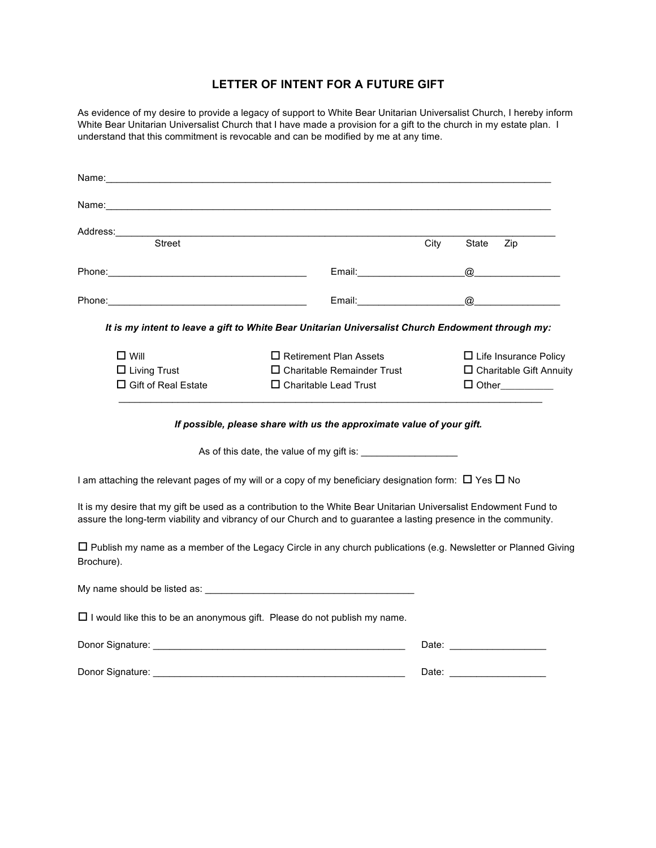## **LETTER OF INTENT FOR A FUTURE GIFT**

As evidence of my desire to provide a legacy of support to White Bear Unitarian Universalist Church, I hereby inform White Bear Unitarian Universalist Church that I have made a provision for a gift to the church in my estate plan. I understand that this commitment is revocable and can be modified by me at any time.

| Name:                                                                                                                                                                                                                                |                                                                                                   |      |                              |                                      |  |
|--------------------------------------------------------------------------------------------------------------------------------------------------------------------------------------------------------------------------------------|---------------------------------------------------------------------------------------------------|------|------------------------------|--------------------------------------|--|
| Name: when the contract of the contract of the contract of the contract of the contract of the contract of the                                                                                                                       |                                                                                                   |      |                              |                                      |  |
| Address: Address: Address: Address: Address: Address: Address: Address: Address: Address: Address: Address: Address: Address: Address: Address: Address: Address: Address: Address: Address: Address: Address: Address: Addres       |                                                                                                   |      |                              |                                      |  |
| <b>Street</b>                                                                                                                                                                                                                        |                                                                                                   | City | State                        | Zip                                  |  |
|                                                                                                                                                                                                                                      | Email: Email:                                                                                     |      | $^{\textregistered}$         |                                      |  |
|                                                                                                                                                                                                                                      | Email: Email:                                                                                     |      | @                            | <u> 1990 - Johann Barbara, martx</u> |  |
|                                                                                                                                                                                                                                      | It is my intent to leave a gift to White Bear Unitarian Universalist Church Endowment through my: |      |                              |                                      |  |
| $\square$ Will                                                                                                                                                                                                                       | $\Box$ Retirement Plan Assets                                                                     |      | $\Box$ Life Insurance Policy |                                      |  |
| $\square$ Living Trust                                                                                                                                                                                                               | $\Box$ Charitable Remainder Trust                                                                 |      |                              | $\Box$ Charitable Gift Annuity       |  |
| □ Gift of Real Estate                                                                                                                                                                                                                | $\Box$ Charitable Lead Trust                                                                      |      |                              | $\Box$ Other                         |  |
|                                                                                                                                                                                                                                      | If possible, please share with us the approximate value of your gift.                             |      |                              |                                      |  |
|                                                                                                                                                                                                                                      | As of this date, the value of my gift is:                                                         |      |                              |                                      |  |
| I am attaching the relevant pages of my will or a copy of my beneficiary designation form: $\Box$ Yes $\Box$ No                                                                                                                      |                                                                                                   |      |                              |                                      |  |
| It is my desire that my gift be used as a contribution to the White Bear Unitarian Universalist Endowment Fund to<br>assure the long-term viability and vibrancy of our Church and to guarantee a lasting presence in the community. |                                                                                                   |      |                              |                                      |  |
| $\Box$ Publish my name as a member of the Legacy Circle in any church publications (e.g. Newsletter or Planned Giving<br>Brochure).                                                                                                  |                                                                                                   |      |                              |                                      |  |
|                                                                                                                                                                                                                                      |                                                                                                   |      |                              |                                      |  |
| $\Box$ I would like this to be an anonymous gift. Please do not publish my name.                                                                                                                                                     |                                                                                                   |      |                              |                                      |  |
| Donor Signature: University of the Contract of the Contract of the Contract of the Contract of the Contract of                                                                                                                       |                                                                                                   |      |                              |                                      |  |
|                                                                                                                                                                                                                                      |                                                                                                   |      |                              |                                      |  |